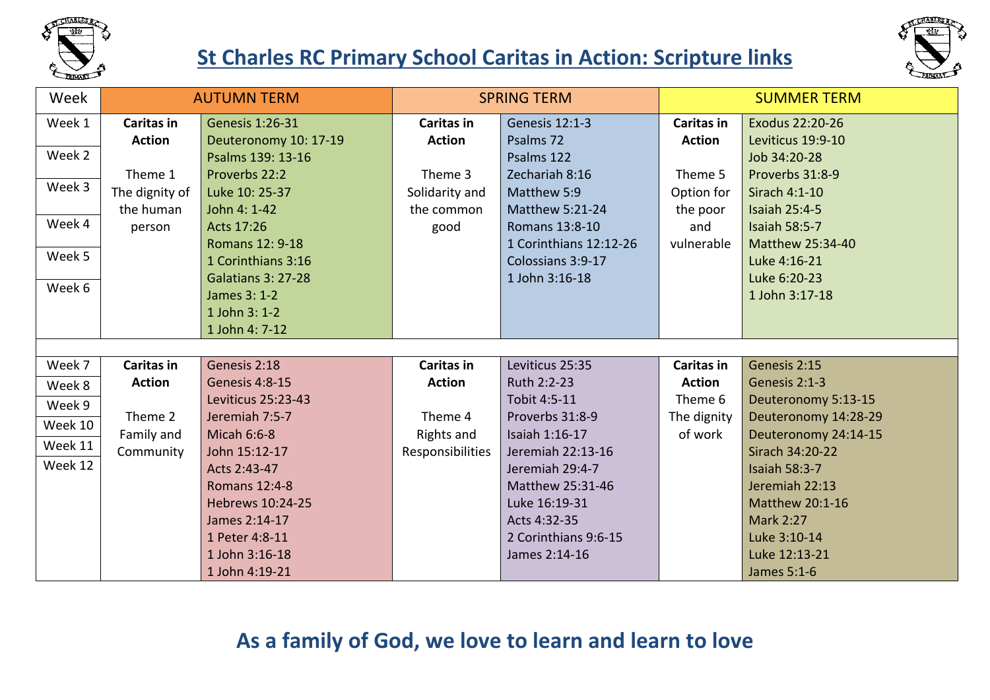

### **St Charles RC Primary School Caritas in Action: Scripture links**



| Week    | <b>AUTUMN TERM</b> |                           | <b>SPRING TERM</b> |                        | <b>SUMMER TERM</b> |                      |  |
|---------|--------------------|---------------------------|--------------------|------------------------|--------------------|----------------------|--|
| Week 1  | <b>Caritas in</b>  | <b>Genesis 1:26-31</b>    | <b>Caritas in</b>  | <b>Genesis 12:1-3</b>  | <b>Caritas in</b>  | Exodus 22:20-26      |  |
|         | <b>Action</b>      | Deuteronomy 10: 17-19     | <b>Action</b>      | Psalms 72              | <b>Action</b>      | Leviticus 19:9-10    |  |
| Week 2  |                    | Psalms 139: 13-16         |                    | Psalms 122             |                    | Job 34:20-28         |  |
|         | Theme 1            | Proverbs 22:2             | Theme 3            | Zechariah 8:16         | Theme 5            | Proverbs 31:8-9      |  |
| Week 3  | The dignity of     | Luke 10: 25-37            | Solidarity and     | Matthew 5:9            | Option for         | Sirach 4:1-10        |  |
|         | the human          | John 4: 1-42              | the common         | <b>Matthew 5:21-24</b> | the poor           | <b>Isaiah 25:4-5</b> |  |
| Week 4  | person             | Acts 17:26                | good               | Romans 13:8-10         | and                | <b>Isaiah 58:5-7</b> |  |
|         |                    | <b>Romans 12: 9-18</b>    |                    | 1 Corinthians 12:12-26 | vulnerable         | Matthew 25:34-40     |  |
| Week 5  |                    | 1 Corinthians 3:16        |                    | Colossians 3:9-17      |                    | Luke 4:16-21         |  |
|         |                    | <b>Galatians 3: 27-28</b> |                    | 1 John 3:16-18         |                    | Luke 6:20-23         |  |
| Week 6  |                    | James 3: 1-2              |                    |                        |                    | 1 John 3:17-18       |  |
|         |                    | 1 John 3: 1-2             |                    |                        |                    |                      |  |
|         |                    | 1 John 4: 7-12            |                    |                        |                    |                      |  |
|         |                    |                           |                    |                        |                    |                      |  |
| Week 7  | <b>Caritas in</b>  | Genesis 2:18              | Caritas in         | Leviticus 25:35        | <b>Caritas in</b>  | Genesis 2:15         |  |
| Week 8  | <b>Action</b>      | Genesis 4:8-15            | <b>Action</b>      | Ruth 2:2-23            | <b>Action</b>      | Genesis 2:1-3        |  |
| Week 9  |                    | Leviticus 25:23-43        |                    | Tobit 4:5-11           | Theme 6            | Deuteronomy 5:13-15  |  |
| Week 10 | Theme 2            | Jeremiah 7:5-7            | Theme 4            | Proverbs 31:8-9        | The dignity        | Deuteronomy 14:28-29 |  |
|         | Family and         | <b>Micah 6:6-8</b>        | Rights and         | Isaiah 1:16-17         | of work            | Deuteronomy 24:14-15 |  |
| Week 11 | Community          | John 15:12-17             | Responsibilities   | Jeremiah 22:13-16      |                    | Sirach 34:20-22      |  |
| Week 12 |                    | Acts 2:43-47              |                    | Jeremiah 29:4-7        |                    | <b>Isaiah 58:3-7</b> |  |
|         |                    | <b>Romans 12:4-8</b>      |                    | Matthew 25:31-46       |                    | Jeremiah 22:13       |  |
|         |                    | Hebrews 10:24-25          |                    | Luke 16:19-31          |                    | Matthew 20:1-16      |  |
|         |                    | James 2:14-17             |                    | Acts 4:32-35           |                    | <b>Mark 2:27</b>     |  |
|         |                    | 1 Peter 4:8-11            |                    | 2 Corinthians 9:6-15   |                    | Luke 3:10-14         |  |
|         |                    | 1 John 3:16-18            |                    | James 2:14-16          |                    | Luke 12:13-21        |  |
|         |                    | 1 John 4:19-21            |                    |                        |                    | James 5:1-6          |  |

#### **As a family of God, we love to learn and learn to love**